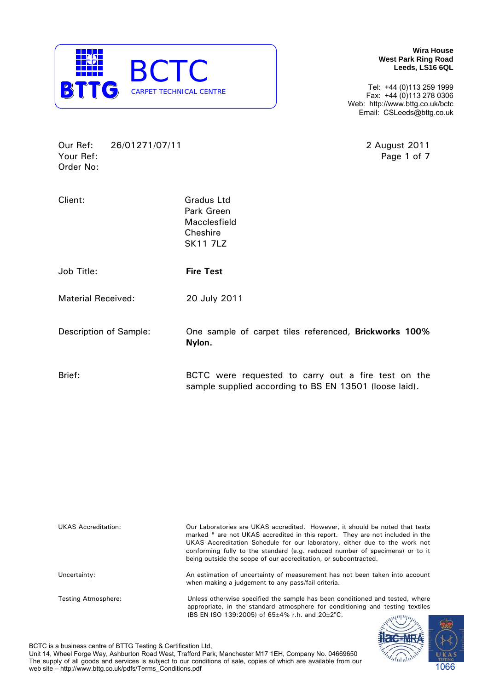

**Wira House West Park Ring Road Leeds, LS16 6QL** 

Tel: +44 (0)113 259 1999 Fax: +44 (0)113 278 0306 Web: http://www.bttg.co.uk/bctc Email: CSLeeds@bttg.co.uk

Our Ref: 26/01271/07/11 2 August 2011 Your Ref: Page 1 of 7 Order No:

| Client:                   | <b>Gradus Ltd</b><br>Park Green<br>Macclesfield<br>Cheshire<br><b>SK11 7LZ</b> |
|---------------------------|--------------------------------------------------------------------------------|
| Job Title:                | <b>Fire Test</b>                                                               |
| <b>Material Received:</b> | 20 July 2011                                                                   |
| Description of Sample:    | One sample of carpet tiles referenced, Brickworks 100%<br>Nylon.               |
| Brief:                    | BCTC were requested to carry out a fire test on the                            |

sample supplied according to BS EN 13501 (loose laid).

| <b>UKAS Accreditation:</b> | Our Laboratories are UKAS accredited. However, it should be noted that tests<br>marked * are not UKAS accredited in this report. They are not included in the<br>UKAS Accreditation Schedule for our laboratory, either due to the work not<br>conforming fully to the standard (e.g. reduced number of specimens) or to it<br>being outside the scope of our accreditation, or subcontracted. |
|----------------------------|------------------------------------------------------------------------------------------------------------------------------------------------------------------------------------------------------------------------------------------------------------------------------------------------------------------------------------------------------------------------------------------------|
| Uncertainty:               | An estimation of uncertainty of measurement has not been taken into account<br>when making a judgement to any pass/fail criteria.                                                                                                                                                                                                                                                              |
| Testing Atmosphere:        | Unless otherwise specified the sample has been conditioned and tested, where<br>appropriate, in the standard atmosphere for conditioning and testing textiles<br>(BS EN ISO 139:2005) of $65\pm4\%$ r.h. and $20\pm2\degree$ C.<br>$\mathcal{M}$                                                                                                                                               |



BCTC is a business centre of BTTG Testing & Certification Ltd,

Unit 14, Wheel Forge Way, Ashburton Road West, Trafford Park, Manchester M17 1EH, Company No. 04669650 The supply of all goods and services is subject to our conditions of sale, copies of which are available from our web site – http://www.bttg.co.uk/pdfs/Terms\_Conditions.pdf 1066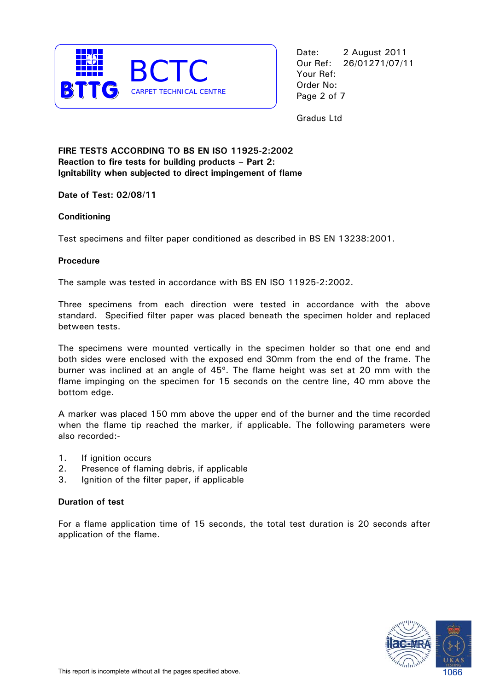

Date: 2 August 2011 Our Ref: 26/01271/07/11 Your Ref: Page 2 of 7

Gradus Ltd

# **FIRE TESTS ACCORDING TO BS EN ISO 11925-2:2002 Reaction to fire tests for building products – Part 2: Ignitability when subjected to direct impingement of flame**

**Date of Test: 02/08/11** 

# **Conditioning**

Test specimens and filter paper conditioned as described in BS EN 13238:2001.

# **Procedure**

The sample was tested in accordance with BS EN ISO 11925-2:2002.

Three specimens from each direction were tested in accordance with the above standard. Specified filter paper was placed beneath the specimen holder and replaced between tests.

The specimens were mounted vertically in the specimen holder so that one end and both sides were enclosed with the exposed end 30mm from the end of the frame. The burner was inclined at an angle of 45º. The flame height was set at 20 mm with the flame impinging on the specimen for 15 seconds on the centre line, 40 mm above the bottom edge.

A marker was placed 150 mm above the upper end of the burner and the time recorded when the flame tip reached the marker, if applicable. The following parameters were also recorded:-

- 1. If ignition occurs
- 2. Presence of flaming debris, if applicable
- 3. Ignition of the filter paper, if applicable

# **Duration of test**

For a flame application time of 15 seconds, the total test duration is 20 seconds after application of the flame.

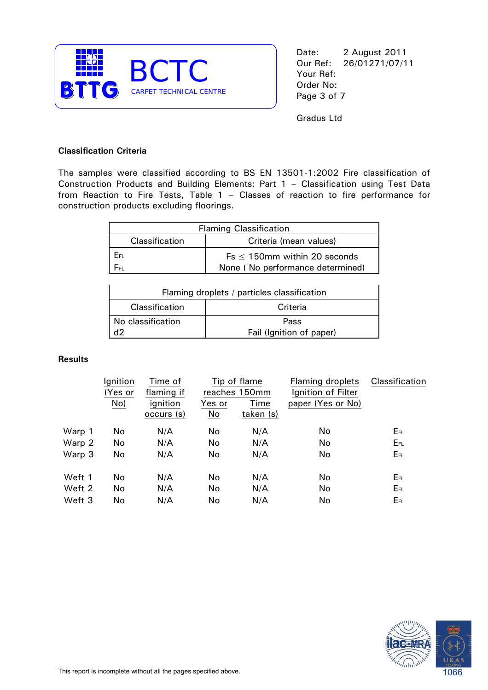

Date: 2 August 2011 Our Ref: 26/01271/07/11 Your Ref: Page 3 of 7

Gradus Ltd

# **Classification Criteria**

The samples were classified according to BS EN 13501-1:2002 Fire classification of Construction Products and Building Elements: Part 1 – Classification using Test Data from Reaction to Fire Tests, Table 1 – Classes of reaction to fire performance for construction products excluding floorings.

| <b>Flaming Classification</b>            |                                    |  |  |
|------------------------------------------|------------------------------------|--|--|
| Classification<br>Criteria (mean values) |                                    |  |  |
| Eв                                       | $Fs \leq 150$ mm within 20 seconds |  |  |
| Fer-                                     | None (No performance determined)   |  |  |

| Flaming droplets / particles classification |      |  |  |
|---------------------------------------------|------|--|--|
| Classification<br>Criteria                  |      |  |  |
| No classification                           | Pass |  |  |
| Fail (Ignition of paper)                    |      |  |  |

#### **Results**

|        | Ignition<br>(Yes or | Time of<br>flaming if | Tip of flame<br>reaches 150mm |           | Flaming droplets<br>Ignition of Filter | Classification |
|--------|---------------------|-----------------------|-------------------------------|-----------|----------------------------------------|----------------|
|        | No)                 | ignition              | Yes or                        | Time      | paper (Yes or No)                      |                |
|        |                     | occurs (s)            | No                            | taken (s) |                                        |                |
| Warp 1 | No                  | N/A                   | No                            | N/A       | No                                     | EFL            |
| Warp 2 | No                  | N/A                   | No                            | N/A       | <b>No</b>                              | EFL            |
| Warp 3 | No                  | N/A                   | No                            | N/A       | No                                     | EFL            |
| Weft 1 | No                  | N/A                   | No                            | N/A       | No                                     | EFL            |
| Weft 2 | No                  | N/A                   | No                            | N/A       | <b>No</b>                              | EFL            |
| Weft 3 | No                  | N/A                   | No                            | N/A       | No                                     | EFL            |
|        |                     |                       |                               |           |                                        |                |

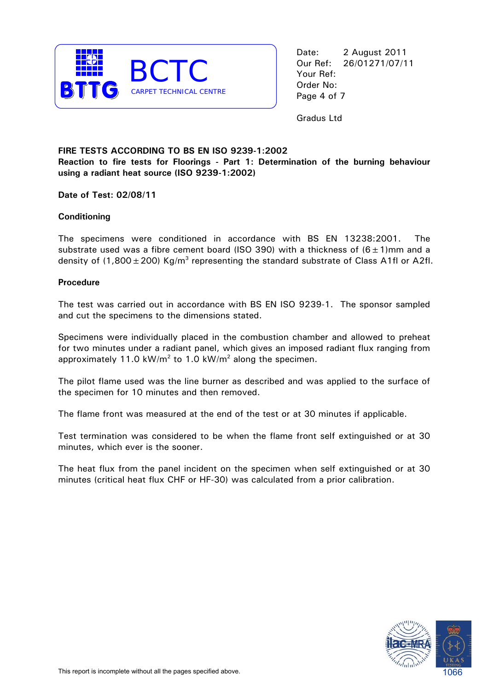

Date: 2 August 2011 Our Ref: 26/01271/07/11 Your Ref: Page 4 of 7

Gradus Ltd

### **FIRE TESTS ACCORDING TO BS EN ISO 9239-1:2002 Reaction to fire tests for Floorings - Part 1: Determination of the burning behaviour using a radiant heat source (ISO 9239-1:2002)**

**Date of Test: 02/08/11** 

### **Conditioning**

The specimens were conditioned in accordance with BS EN 13238:2001. The substrate used was a fibre cement board (ISO 390) with a thickness of  $(6 \pm 1)$ mm and a density of (1,800  $\pm$  200) Kg/m<sup>3</sup> representing the standard substrate of Class A1fl or A2fl.

#### **Procedure**

The test was carried out in accordance with BS EN ISO 9239-1. The sponsor sampled and cut the specimens to the dimensions stated.

Specimens were individually placed in the combustion chamber and allowed to preheat for two minutes under a radiant panel, which gives an imposed radiant flux ranging from approximately 11.0 kW/m<sup>2</sup> to 1.0 kW/m<sup>2</sup> along the specimen.

The pilot flame used was the line burner as described and was applied to the surface of the specimen for 10 minutes and then removed.

The flame front was measured at the end of the test or at 30 minutes if applicable.

Test termination was considered to be when the flame front self extinguished or at 30 minutes, which ever is the sooner.

The heat flux from the panel incident on the specimen when self extinguished or at 30 minutes (critical heat flux CHF or HF-30) was calculated from a prior calibration.

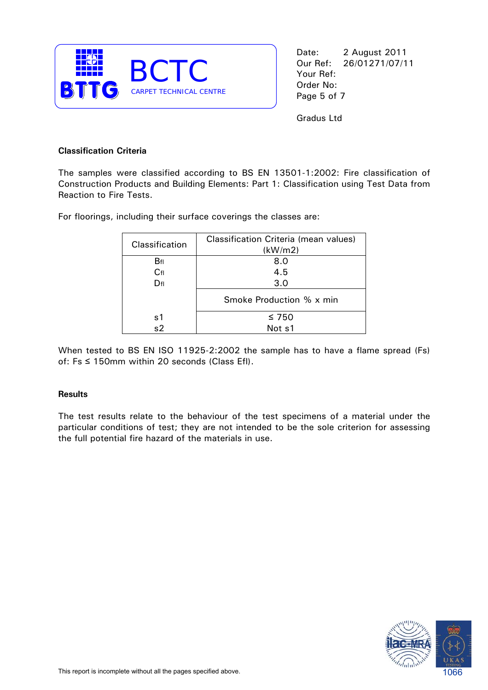

Date: 2 August 2011 Our Ref: 26/01271/07/11 Your Ref: Page 5 of 7

Gradus Ltd

# **Classification Criteria**

The samples were classified according to BS EN 13501-1:2002: Fire classification of Construction Products and Building Elements: Part 1: Classification using Test Data from Reaction to Fire Tests.

For floorings, including their surface coverings the classes are:

| Classification | Classification Criteria (mean values)<br>(kW/m2) |
|----------------|--------------------------------------------------|
| Bfl            | 8.0                                              |
| $C_{\rm fl}$   | 4.5                                              |
| $D_{\rm fl}$   | 3.0                                              |
|                | Smoke Production % x min                         |
| s1             | $\leq 750$                                       |
| s <sub>2</sub> | Not s1                                           |

When tested to BS EN ISO 11925-2:2002 the sample has to have a flame spread (Fs) of: Fs ≤ 150mm within 20 seconds (Class Efl).

#### **Results**

The test results relate to the behaviour of the test specimens of a material under the particular conditions of test; they are not intended to be the sole criterion for assessing the full potential fire hazard of the materials in use.

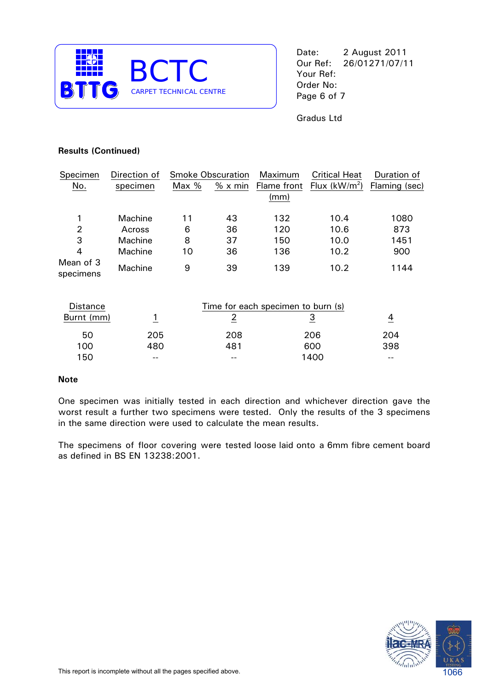

Date: 2 August 2011 Our Ref: 26/01271/07/11 Your Ref:

Gradus Ltd

# **Results (Continued)**

| Specimen               | Direction of |       | <b>Smoke Obscuration</b> | Maximum     | <b>Critical Heat</b> | Duration of   |
|------------------------|--------------|-------|--------------------------|-------------|----------------------|---------------|
| No.                    | specimen     | Max % | $% \times min$           | Flame front | Flux $(kW/m2)$       | Flaming (sec) |
|                        |              |       |                          | (mm)        |                      |               |
| 1                      | Machine      | 11    | 43                       | 132         | 10.4                 | 1080          |
| 2                      | Across       | 6     | 36                       | 120         | 10.6                 | 873           |
| 3                      | Machine      | 8     | 37                       | 150         | 10.0                 | 1451          |
| 4                      | Machine      | 10    | 36                       | 136         | 10.2                 | 900           |
| Mean of 3<br>specimens | Machine      | 9     | 39                       | 139         | 10.2                 | 1144          |

| <b>Distance</b> |       | Time for each specimen to burn (s) |      |     |
|-----------------|-------|------------------------------------|------|-----|
| Burnt (mm)      |       |                                    |      |     |
| 50              | 205   | 208                                | 206  | 204 |
| 100             | 480   | 481                                | 600  | 398 |
| 150             | $- -$ | --                                 | 1400 | --  |

#### **Note**

One specimen was initially tested in each direction and whichever direction gave the worst result a further two specimens were tested. Only the results of the 3 specimens in the same direction were used to calculate the mean results.

The specimens of floor covering were tested loose laid onto a 6mm fibre cement board as defined in BS EN 13238:2001.